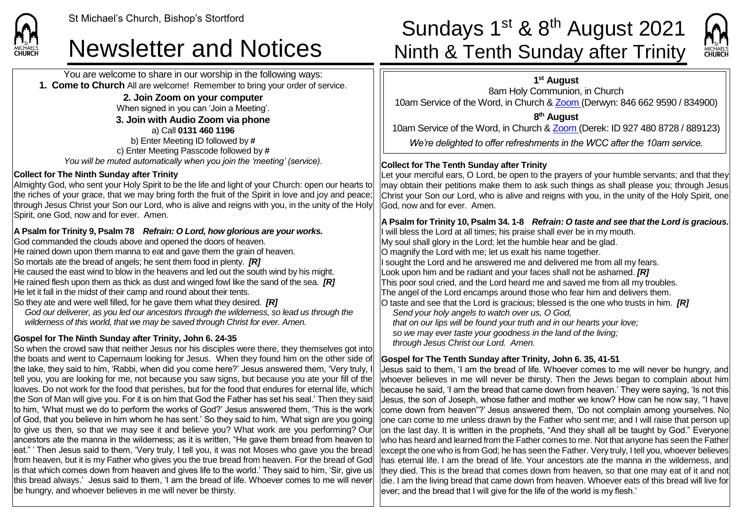You are welcome to share in our worship in the following ways: **1. Come to Church** All are welcome! Remember to bring your order of service. **2. Join Zoom on your computer**

When signed in you can 'Join a Meeting'.

**3. Join with Audio Zoom via phone** a) Call **0131 460 1196** b) Enter Meeting ID followed by **#** c) Enter Meeting Passcode followed by **#** *You will be muted automatically when you join the 'meeting' (service).*

#### **Collect for The Ninth Sunday after Trinity**

Almighty God, who sent your Holy Spirit to be the life and light of your Church: open our hearts to the riches of your grace, that we may bring forth the fruit of the Spirit in love and joy and peace; through Jesus Christ your Son our Lord, who is alive and reigns with you, in the unity of the Holy Spirit, one God, now and for ever. Amen.

### **A Psalm for Trinity 9, Psalm 78** *Refrain: O Lord, how glorious are your works.*

God commanded the clouds above and opened the doors of heaven. He rained down upon them manna to eat and gave them the grain of heaven. So mortals ate the bread of angels; he sent them food in plenty. *[R]* He caused the east wind to blow in the heavens and led out the south wind by his might. He rained flesh upon them as thick as dust and winged fowl like the sand of the sea. *[R]* He let it fall in the midst of their camp and round about their tents.

So they ate and were well filled, for he gave them what they desired. *[R] God our deliverer, as you led our ancestors through the wilderness, so lead us through the wilderness of this world, that we may be saved through Christ for ever. Amen.*

### **Gospel for The Ninth Sunday after Trinity, John 6. 24-35**

So when the crowd saw that neither Jesus nor his disciples were there, they themselves got into the boats and went to Capernaum looking for Jesus. When they found him on the other side of the lake, they said to him, 'Rabbi, when did you come here?' Jesus answered them, 'Very truly, I tell you, you are looking for me, not because you saw signs, but because you ate your fill of the loaves. Do not work for the food that perishes, but for the food that endures for eternal life, which the Son of Man will give you. For it is on him that God the Father has set his seal.' Then they said to him, 'What must we do to perform the works of God?' Jesus answered them, 'This is the work of God, that you believe in him whom he has sent.' So they said to him, 'What sign are you going to give us then, so that we may see it and believe you? What work are you performing? Our ancestors ate the manna in the wilderness; as it is written, "He gave them bread from heaven to eat." Then Jesus said to them, 'Very truly, I tell you, it was not Moses who gave you the bread from heaven, but it is my Father who gives you the true bread from heaven. For the bread of God is that which comes down from heaven and gives life to the world.' They said to him, 'Sir, give us this bread always.' Jesus said to them, 'I am the bread of life. Whoever comes to me will never be hungry, and whoever believes in me will never be thirsty.

## St Michael's Church, Bishop's Stortford<br>Sundays 1<sup>st</sup> & 8<sup>th</sup> August 2021<br>Newsletter and Notices Minth & Tenth Sunday after Trinity Ninth & Tenth Sunday after Trinity



**1 st August**

8am Holy Communion, in Church 10am Service of the Word, in Church & [Zoom](https://zoom.us/) (Derwyn: 846 662 9590 / 834900)

**8 th August**

10am Service of the Word, in Church & [Zoom](https://zoom.us/) (Derek: ID 927 480 8728 / 889123)

*We're delighted to offer refreshments in the WCC after the 10am service.*

### **Collect for The Tenth Sunday after Trinity**

Let your merciful ears, O Lord, be open to the prayers of your humble servants; and that they may obtain their petitions make them to ask such things as shall please you; through Jesus Christ your Son our Lord, who is alive and reigns with you, in the unity of the Holy Spirit, one God, now and for ever. Amen.

**A Psalm for Trinity 10, Psalm 34. 1-8** *Refrain: O taste and see that the Lord is gracious.* I will bless the Lord at all times; his praise shall ever be in my mouth. My soul shall glory in the Lord; let the humble hear and be glad. O magnify the Lord with me; let us exalt his name together. If sought the Lord and he answered me and delivered me from all my fears. Look upon him and be radiant and your faces shall not be ashamed. *[R]* This poor soul cried, and the Lord heard me and saved me from all my troubles. The angel of the Lord encamps around those who fear him and delivers them. O taste and see that the Lord is gracious; blessed is the one who trusts in him. *[R] Send your holy angels to watch over us, O God, that on our lips will be found your truth and in our hearts your love; so we may ever taste your goodness in the land of the living; through Jesus Christ our Lord. Amen.*

#### **Gospel for The Tenth Sunday after Trinity, John 6. 35, 41-51**

Jesus said to them, 'I am the bread of life. Whoever comes to me will never be hungry, and whoever believes in me will never be thirsty. Then the Jews began to complain about him because he said, 'I am the bread that came down from heaven.' They were saying, 'Is not this Jesus, the son of Joseph, whose father and mother we know? How can he now say, "I have come down from heaven"?' Jesus answered them, 'Do not complain among yourselves. No one can come to me unless drawn by the Father who sent me; and I will raise that person up on the last day. It is written in the prophets, "And they shall all be taught by God." Everyone who has heard and learned from the Father comes to me. Not that anyone has seen the Father except the one who is from God; he has seen the Father. Very truly, I tell you, whoever believes has eternal life. I am the bread of life. Your ancestors ate the manna in the wilderness, and they died. This is the bread that comes down from heaven, so that one may eat of it and not die. I am the living bread that came down from heaven. Whoever eats of this bread will live for ever; and the bread that I will give for the life of the world is my flesh.'